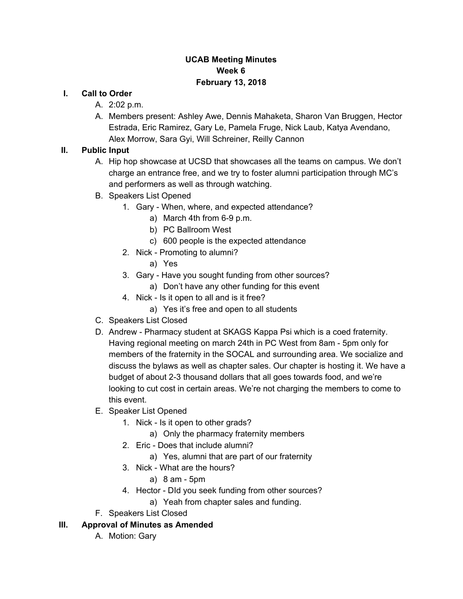### **UCAB Meeting Minutes Week 6 February 13, 2018**

#### **I. Call to Order**

- A. 2:02 p.m.
- A. Members present: Ashley Awe, Dennis Mahaketa, Sharon Van Bruggen, Hector Estrada, Eric Ramirez, Gary Le, Pamela Fruge, Nick Laub, Katya Avendano, Alex Morrow, Sara Gyi, Will Schreiner, Reilly Cannon

### **II. Public Input**

- A. Hip hop showcase at UCSD that showcases all the teams on campus. We don't charge an entrance free, and we try to foster alumni participation through MC's and performers as well as through watching.
- B. Speakers List Opened
	- 1. Gary When, where, and expected attendance?
		- a) March 4th from 6-9 p.m.
		- b) PC Ballroom West
		- c) 600 people is the expected attendance
	- 2. Nick Promoting to alumni?
		- a) Yes
	- 3. Gary Have you sought funding from other sources?
		- a) Don't have any other funding for this event
	- 4. Nick Is it open to all and is it free?
		- a) Yes it's free and open to all students
- C. Speakers List Closed
- D. Andrew Pharmacy student at SKAGS Kappa Psi which is a coed fraternity. Having regional meeting on march 24th in PC West from 8am - 5pm only for members of the fraternity in the SOCAL and surrounding area. We socialize and discuss the bylaws as well as chapter sales. Our chapter is hosting it. We have a budget of about 2-3 thousand dollars that all goes towards food, and we're looking to cut cost in certain areas. We're not charging the members to come to this event.
- E. Speaker List Opened
	- 1. Nick Is it open to other grads?
		- a) Only the pharmacy fraternity members
	- 2. Eric Does that include alumni?
		- a) Yes, alumni that are part of our fraternity
	- 3. Nick What are the hours?
		- a) 8 am 5pm
	- 4. Hector DId you seek funding from other sources?
		- a) Yeah from chapter sales and funding.
- F. Speakers List Closed

#### **III. Approval of Minutes as Amended**

A. Motion: Gary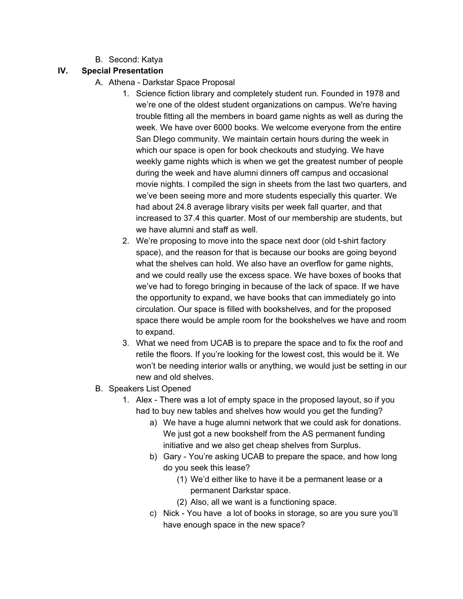B. Second: Katya

## **IV. Special Presentation**

- A. Athena Darkstar Space Proposal
	- 1. Science fiction library and completely student run. Founded in 1978 and we're one of the oldest student organizations on campus. We're having trouble fitting all the members in board game nights as well as during the week. We have over 6000 books. We welcome everyone from the entire San DIego community. We maintain certain hours during the week in which our space is open for book checkouts and studying. We have weekly game nights which is when we get the greatest number of people during the week and have alumni dinners off campus and occasional movie nights. I compiled the sign in sheets from the last two quarters, and we've been seeing more and more students especially this quarter. We had about 24.8 average library visits per week fall quarter, and that increased to 37.4 this quarter. Most of our membership are students, but we have alumni and staff as well.
	- 2. We're proposing to move into the space next door (old t-shirt factory space), and the reason for that is because our books are going beyond what the shelves can hold. We also have an overflow for game nights, and we could really use the excess space. We have boxes of books that we've had to forego bringing in because of the lack of space. If we have the opportunity to expand, we have books that can immediately go into circulation. Our space is filled with bookshelves, and for the proposed space there would be ample room for the bookshelves we have and room to expand.
	- 3. What we need from UCAB is to prepare the space and to fix the roof and retile the floors. If you're looking for the lowest cost, this would be it. We won't be needing interior walls or anything, we would just be setting in our new and old shelves.
- B. Speakers List Opened
	- 1. Alex There was a lot of empty space in the proposed layout, so if you had to buy new tables and shelves how would you get the funding?
		- a) We have a huge alumni network that we could ask for donations. We just got a new bookshelf from the AS permanent funding initiative and we also get cheap shelves from Surplus.
		- b) Gary You're asking UCAB to prepare the space, and how long do you seek this lease?
			- (1) We'd either like to have it be a permanent lease or a permanent Darkstar space.
			- (2) Also, all we want is a functioning space.
		- c) Nick You have a lot of books in storage, so are you sure you'll have enough space in the new space?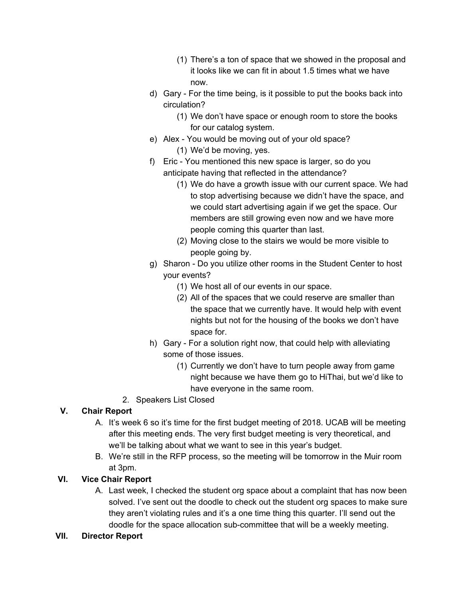- (1) There's a ton of space that we showed in the proposal and it looks like we can fit in about 1.5 times what we have now.
- d) Gary For the time being, is it possible to put the books back into circulation?
	- (1) We don't have space or enough room to store the books for our catalog system.
- e) Alex You would be moving out of your old space? (1) We'd be moving, yes.
- f) Eric You mentioned this new space is larger, so do you anticipate having that reflected in the attendance?
	- (1) We do have a growth issue with our current space. We had to stop advertising because we didn't have the space, and we could start advertising again if we get the space. Our members are still growing even now and we have more people coming this quarter than last.
	- (2) Moving close to the stairs we would be more visible to people going by.
- g) Sharon Do you utilize other rooms in the Student Center to host your events?
	- (1) We host all of our events in our space.
	- (2) All of the spaces that we could reserve are smaller than the space that we currently have. It would help with event nights but not for the housing of the books we don't have space for.
- h) Gary For a solution right now, that could help with alleviating some of those issues.
	- (1) Currently we don't have to turn people away from game night because we have them go to HiThai, but we'd like to have everyone in the same room.
- 2. Speakers List Closed

# **V. Chair Report**

- A. It's week 6 so it's time for the first budget meeting of 2018. UCAB will be meeting after this meeting ends. The very first budget meeting is very theoretical, and we'll be talking about what we want to see in this year's budget.
- B. We're still in the RFP process, so the meeting will be tomorrow in the Muir room at 3pm.

# **VI. Vice Chair Report**

A. Last week, I checked the student org space about a complaint that has now been solved. I've sent out the doodle to check out the student org spaces to make sure they aren't violating rules and it's a one time thing this quarter. I'll send out the doodle for the space allocation sub-committee that will be a weekly meeting.

## **VII. Director Report**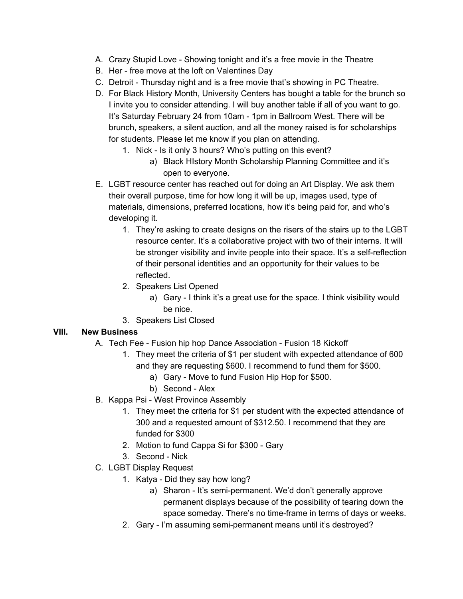- A. Crazy Stupid Love Showing tonight and it's a free movie in the Theatre
- B. Her free move at the loft on Valentines Day
- C. Detroit Thursday night and is a free movie that's showing in PC Theatre.
- D. For Black History Month, University Centers has bought a table for the brunch so I invite you to consider attending. I will buy another table if all of you want to go. It's Saturday February 24 from 10am - 1pm in Ballroom West. There will be brunch, speakers, a silent auction, and all the money raised is for scholarships for students. Please let me know if you plan on attending.
	- 1. Nick Is it only 3 hours? Who's putting on this event?
		- a) Black HIstory Month Scholarship Planning Committee and it's open to everyone.
- E. LGBT resource center has reached out for doing an Art Display. We ask them their overall purpose, time for how long it will be up, images used, type of materials, dimensions, preferred locations, how it's being paid for, and who's developing it.
	- 1. They're asking to create designs on the risers of the stairs up to the LGBT resource center. It's a collaborative project with two of their interns. It will be stronger visibility and invite people into their space. It's a self-reflection of their personal identities and an opportunity for their values to be reflected.
	- 2. Speakers List Opened
		- a) Gary I think it's a great use for the space. I think visibility would be nice.
	- 3. Speakers List Closed

#### **VIII. New Business**

- A. Tech Fee Fusion hip hop Dance Association Fusion 18 Kickoff
	- 1. They meet the criteria of \$1 per student with expected attendance of 600 and they are requesting \$600. I recommend to fund them for \$500.
		- a) Gary Move to fund Fusion Hip Hop for \$500.
		- b) Second Alex
- B. Kappa Psi West Province Assembly
	- 1. They meet the criteria for \$1 per student with the expected attendance of 300 and a requested amount of \$312.50. I recommend that they are funded for \$300
	- 2. Motion to fund Cappa Si for \$300 Gary
	- 3. Second Nick
- C. LGBT Display Request
	- 1. Katya Did they say how long?
		- a) Sharon It's semi-permanent. We'd don't generally approve permanent displays because of the possibility of tearing down the space someday. There's no time-frame in terms of days or weeks.
	- 2. Gary I'm assuming semi-permanent means until it's destroyed?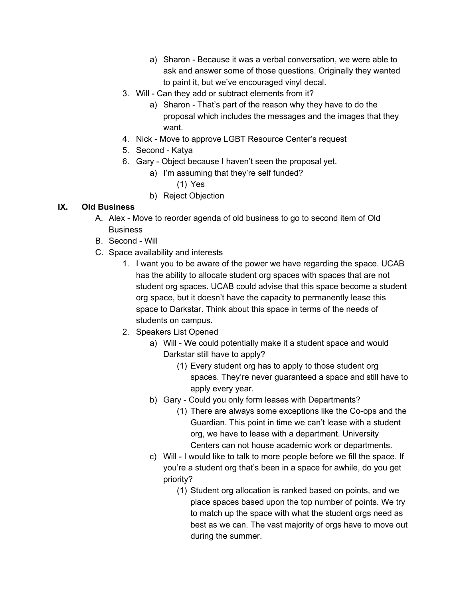- a) Sharon Because it was a verbal conversation, we were able to ask and answer some of those questions. Originally they wanted to paint it, but we've encouraged vinyl decal.
- 3. Will Can they add or subtract elements from it?
	- a) Sharon That's part of the reason why they have to do the proposal which includes the messages and the images that they want.
- 4. Nick Move to approve LGBT Resource Center's request
- 5. Second Katya
- 6. Gary Object because I haven't seen the proposal yet.
	- a) I'm assuming that they're self funded?
		- (1) Yes
	- b) Reject Objection

### **IX. Old Business**

- A. Alex Move to reorder agenda of old business to go to second item of Old **Business**
- B. Second Will
- C. Space availability and interests
	- 1. I want you to be aware of the power we have regarding the space. UCAB has the ability to allocate student org spaces with spaces that are not student org spaces. UCAB could advise that this space become a student org space, but it doesn't have the capacity to permanently lease this space to Darkstar. Think about this space in terms of the needs of students on campus.
	- 2. Speakers List Opened
		- a) Will We could potentially make it a student space and would Darkstar still have to apply?
			- (1) Every student org has to apply to those student org spaces. They're never guaranteed a space and still have to apply every year.
		- b) Gary Could you only form leases with Departments?
			- (1) There are always some exceptions like the Co-ops and the Guardian. This point in time we can't lease with a student org, we have to lease with a department. University Centers can not house academic work or departments.
		- c) Will I would like to talk to more people before we fill the space. If you're a student org that's been in a space for awhile, do you get priority?
			- (1) Student org allocation is ranked based on points, and we place spaces based upon the top number of points. We try to match up the space with what the student orgs need as best as we can. The vast majority of orgs have to move out during the summer.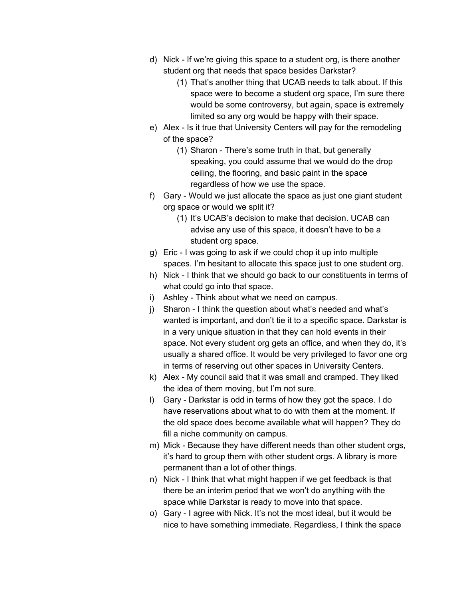- d) Nick If we're giving this space to a student org, is there another student org that needs that space besides Darkstar?
	- (1) That's another thing that UCAB needs to talk about. If this space were to become a student org space, I'm sure there would be some controversy, but again, space is extremely limited so any org would be happy with their space.
- e) Alex Is it true that University Centers will pay for the remodeling of the space?
	- (1) Sharon There's some truth in that, but generally speaking, you could assume that we would do the drop ceiling, the flooring, and basic paint in the space regardless of how we use the space.
- f) Gary Would we just allocate the space as just one giant student org space or would we split it?
	- (1) It's UCAB's decision to make that decision. UCAB can advise any use of this space, it doesn't have to be a student org space.
- g) Eric I was going to ask if we could chop it up into multiple spaces. I'm hesitant to allocate this space just to one student org.
- h) Nick I think that we should go back to our constituents in terms of what could go into that space.
- i) Ashley Think about what we need on campus.
- j) Sharon I think the question about what's needed and what's wanted is important, and don't tie it to a specific space. Darkstar is in a very unique situation in that they can hold events in their space. Not every student org gets an office, and when they do, it's usually a shared office. It would be very privileged to favor one org in terms of reserving out other spaces in University Centers.
- k) Alex My council said that it was small and cramped. They liked the idea of them moving, but I'm not sure.
- l) Gary Darkstar is odd in terms of how they got the space. I do have reservations about what to do with them at the moment. If the old space does become available what will happen? They do fill a niche community on campus.
- m) Mick Because they have different needs than other student orgs, it's hard to group them with other student orgs. A library is more permanent than a lot of other things.
- n) Nick I think that what might happen if we get feedback is that there be an interim period that we won't do anything with the space while Darkstar is ready to move into that space.
- o) Gary I agree with Nick. It's not the most ideal, but it would be nice to have something immediate. Regardless, I think the space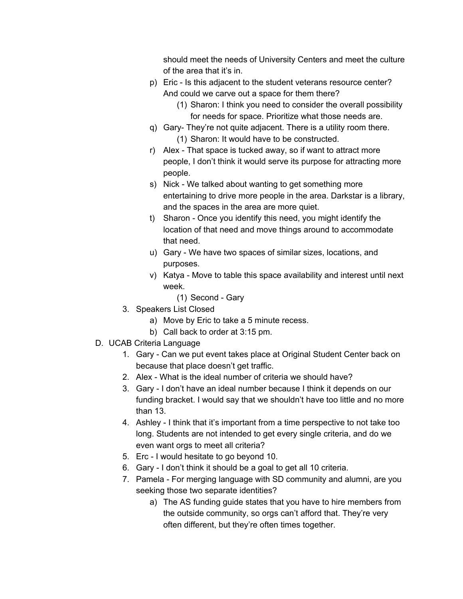should meet the needs of University Centers and meet the culture of the area that it's in.

- p) Eric Is this adjacent to the student veterans resource center? And could we carve out a space for them there?
	- (1) Sharon: I think you need to consider the overall possibility for needs for space. Prioritize what those needs are.
- q) Gary- They're not quite adjacent. There is a utility room there. (1) Sharon: It would have to be constructed.
- r) Alex That space is tucked away, so if want to attract more people, I don't think it would serve its purpose for attracting more people.
- s) Nick We talked about wanting to get something more entertaining to drive more people in the area. Darkstar is a library, and the spaces in the area are more quiet.
- t) Sharon Once you identify this need, you might identify the location of that need and move things around to accommodate that need.
- u) Gary We have two spaces of similar sizes, locations, and purposes.
- v) Katya Move to table this space availability and interest until next week.
	- (1) Second Gary
- 3. Speakers List Closed
	- a) Move by Eric to take a 5 minute recess.
	- b) Call back to order at 3:15 pm.
- D. UCAB Criteria Language
	- 1. Gary Can we put event takes place at Original Student Center back on because that place doesn't get traffic.
	- 2. Alex What is the ideal number of criteria we should have?
	- 3. Gary I don't have an ideal number because I think it depends on our funding bracket. I would say that we shouldn't have too little and no more than 13.
	- 4. Ashley I think that it's important from a time perspective to not take too long. Students are not intended to get every single criteria, and do we even want orgs to meet all criteria?
	- 5. Erc I would hesitate to go beyond 10.
	- 6. Gary I don't think it should be a goal to get all 10 criteria.
	- 7. Pamela For merging language with SD community and alumni, are you seeking those two separate identities?
		- a) The AS funding guide states that you have to hire members from the outside community, so orgs can't afford that. They're very often different, but they're often times together.